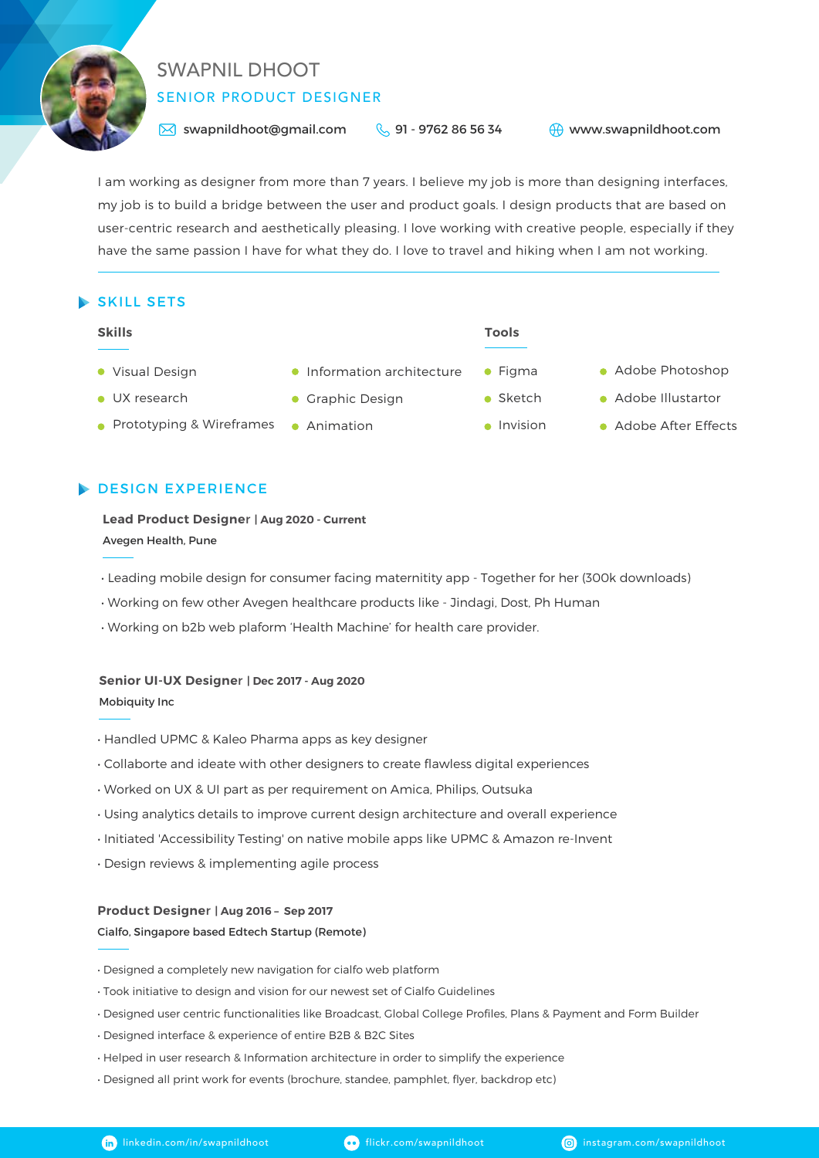

# SENIOR PRODUCT DESIGNER SWAPNIL DHOOT

 $\bowtie$  swapnildhoot@gmail.com  $\bowtie$  91 - 9762 86 56 34

www.swapnildhoot.com

I am working as designer from more than 7 years. I believe my job is more than designing interfaces, my job is to build a bridge between the user and product goals. I design products that are based on user-centric research and aesthetically pleasing. I love working with creative people, especially if they have the same passion I have for what they do. I love to travel and hiking when I am not working.

# SKILL SETS

#### **Skills Tools**

- Visual Design
- **UX** research
- Prototyping & Wireframes Animation
- **Information architecture**
- **Graphic Design**
- **•** Sketch

 $\bullet$  Figma

- Adobe Photoshop
- **Adobe Illustartor**
- Invision Adobe After Effects

# **DESIGN EXPERIENCE**

**Lead Product Designe**r **| Aug 2020 - Current** Avegen Health, Pune

- Leading mobile design for consumer facing maternitity app Together for her (300k downloads)
- Working on few other Avegen healthcare products like Jindagi, Dost, Ph Human
- Working on b2b web plaform 'Health Machine' for health care provider.

### **Senior UI-UX Designe**r **| Dec 2017 - Aug 2020**

Mobiquity Inc

- Handled UPMC & Kaleo Pharma apps as key designer
- Collaborte and ideate with other designers to create flawless digital experiences
- Worked on UX & UI part as per requirement on Amica, Philips, Outsuka
- Using analytics details to improve current design architecture and overall experience
- Initiated 'Accessibility Testing' on native mobile apps like UPMC & Amazon re-Invent
- Design reviews & implementing agile process

### **Product Designe**r **| Aug 2016 – Sep 2017**

### Cialfo, Singapore based Edtech Startup (Remote)

- Designed a completely new navigation for cialfo web platform
- Took initiative to design and vision for our newest set of Cialfo Guidelines
- Designed user centric functionalities like Broadcast, Global College Profiles, Plans & Payment and Form Builder
- Designed interface & experience of entire B2B & B2C Sites
- Helped in user research & Information architecture in order to simplify the experience
- Designed all print work for events (brochure, standee, pamphlet, flyer, backdrop etc)